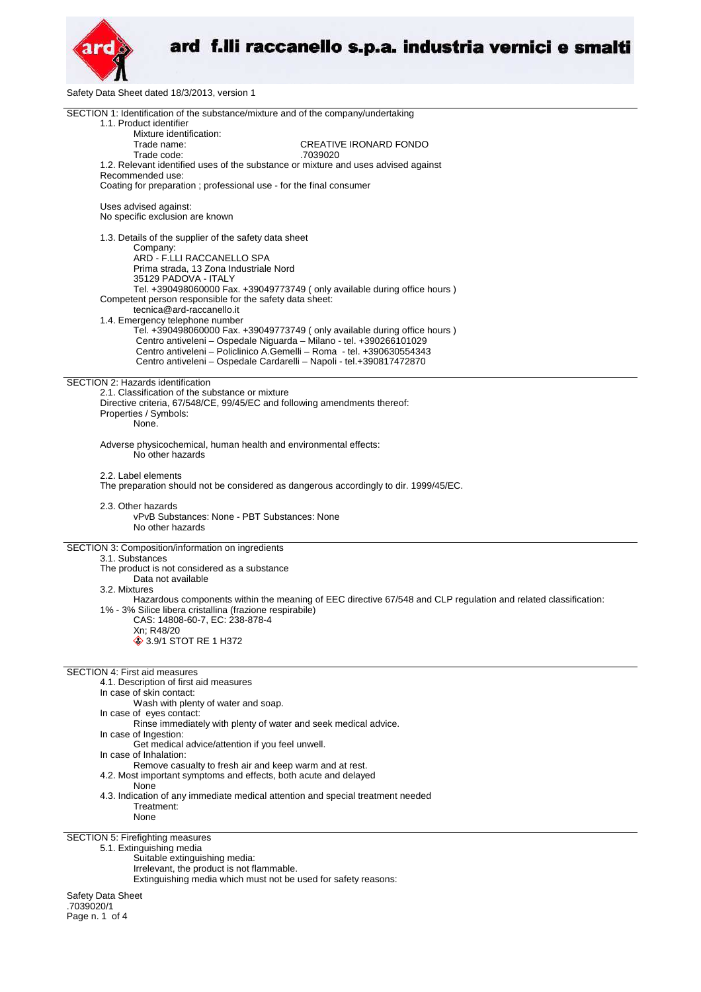

Safety Data Sheet dated 18/3/2013, version 1

| SECTION 1: Identification of the substance/mixture and of the company/undertaking<br>1.1. Product identifier   |  |
|----------------------------------------------------------------------------------------------------------------|--|
| Mixture identification:                                                                                        |  |
| <b>CREATIVE IRONARD FONDO</b><br>Trade name:                                                                   |  |
| Trade code:<br>.7039020                                                                                        |  |
| 1.2. Relevant identified uses of the substance or mixture and uses advised against<br>Recommended use:         |  |
| Coating for preparation ; professional use - for the final consumer                                            |  |
| Uses advised against:<br>No specific exclusion are known                                                       |  |
| 1.3. Details of the supplier of the safety data sheet                                                          |  |
| Company:<br>ARD - F.LLI RACCANELLO SPA                                                                         |  |
| Prima strada, 13 Zona Industriale Nord<br>35129 PADOVA - ITALY                                                 |  |
| Tel. +390498060000 Fax. +39049773749 ( only available during office hours )                                    |  |
| Competent person responsible for the safety data sheet:<br>tecnica@ard-raccanello.it                           |  |
| 1.4. Emergency telephone number                                                                                |  |
| Tel. +390498060000 Fax. +39049773749 (only available during office hours)                                      |  |
| Centro antiveleni - Ospedale Niguarda - Milano - tel. +390266101029                                            |  |
| Centro antiveleni - Policlinico A.Gemelli - Roma - tel. +390630554343                                          |  |
| Centro antiveleni - Ospedale Cardarelli - Napoli - tel.+390817472870                                           |  |
| SECTION 2: Hazards identification                                                                              |  |
| 2.1. Classification of the substance or mixture                                                                |  |
| Directive criteria, 67/548/CE, 99/45/EC and following amendments thereof:<br>Properties / Symbols:             |  |
| None.                                                                                                          |  |
|                                                                                                                |  |
| Adverse physicochemical, human health and environmental effects:<br>No other hazards                           |  |
| 2.2. Label elements                                                                                            |  |
| The preparation should not be considered as dangerous accordingly to dir. 1999/45/EC.                          |  |
| 2.3. Other hazards                                                                                             |  |
| vPvB Substances: None - PBT Substances: None                                                                   |  |
| No other hazards                                                                                               |  |
|                                                                                                                |  |
| SECTION 3: Composition/information on ingredients<br>3.1. Substances                                           |  |
| The product is not considered as a substance                                                                   |  |
| Data not available                                                                                             |  |
| 3.2. Mixtures                                                                                                  |  |
| Hazardous components within the meaning of EEC directive 67/548 and CLP regulation and related classification: |  |
| 1% - 3% Silice libera cristallina (frazione respirabile)                                                       |  |
| CAS: 14808-60-7, EC: 238-878-4                                                                                 |  |
| Xn; R48/20<br>3.9/1 STOT RE 1 H372                                                                             |  |
|                                                                                                                |  |
| <b>SECTION 4: First aid measures</b>                                                                           |  |
| 4.1. Description of first aid measures                                                                         |  |
| In case of skin contact:                                                                                       |  |
| Wash with plenty of water and soap.                                                                            |  |
| In case of eyes contact:                                                                                       |  |
| Rinse immediately with plenty of water and seek medical advice.                                                |  |
| In case of Ingestion:<br>Get medical advice/attention if you feel unwell.                                      |  |
| In case of Inhalation:                                                                                         |  |
| Remove casualty to fresh air and keep warm and at rest.                                                        |  |
| 4.2. Most important symptoms and effects, both acute and delayed                                               |  |
| None                                                                                                           |  |
| 4.3. Indication of any immediate medical attention and special treatment needed<br>Treatment:                  |  |
| None                                                                                                           |  |
|                                                                                                                |  |
| SECTION 5: Firefighting measures<br>5.1. Extinguishing media                                                   |  |
| Suitable extinguishing media:                                                                                  |  |
| Irrelevant, the product is not flammable.                                                                      |  |
| Extinguishing media which must not be used for safety reasons:                                                 |  |

Safety Data Sheet .7039020/1 Page n. 1 of 4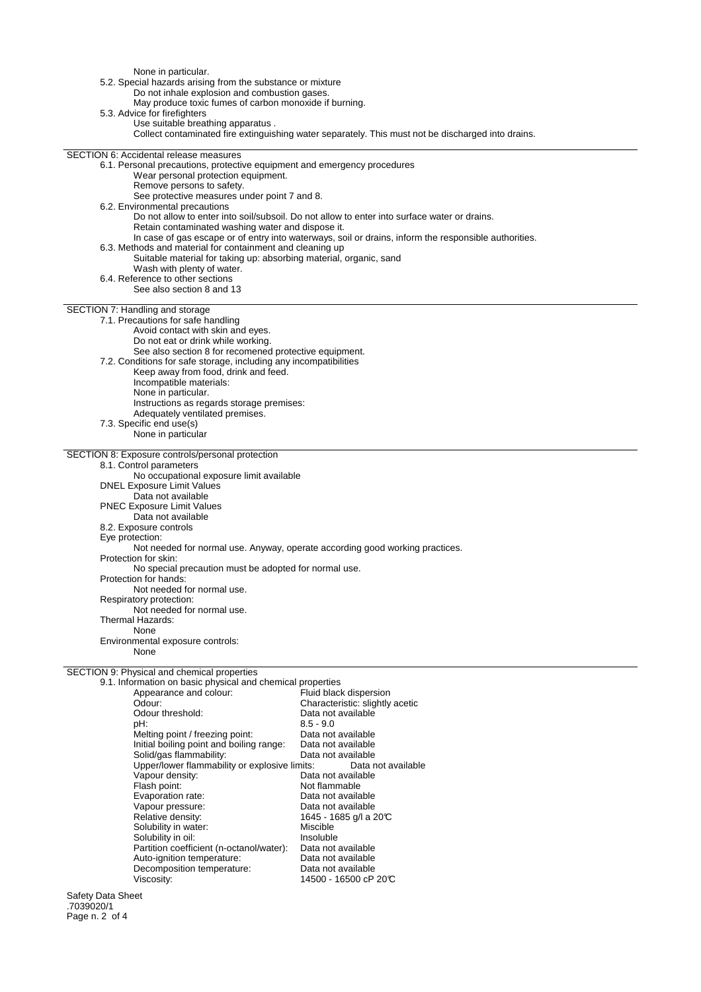None in particular.

5.2. Special hazards arising from the substance or mixture

Do not inhale explosion and combustion gases.

May produce toxic fumes of carbon monoxide if burning.

5.3. Advice for firefighters

Use suitable breathing apparatus . Collect contaminated fire extinguishing water separately. This must not be discharged into drains.

SECTION 6: Accidental release measures 6.1. Personal precautions, protective equipment and emergency procedures Wear personal protection equipment. Remove persons to safety. See protective measures under point 7 and 8. 6.2. Environmental precautions Do not allow to enter into soil/subsoil. Do not allow to enter into surface water or drains. Retain contaminated washing water and dispose it. In case of gas escape or of entry into waterways, soil or drains, inform the responsible authorities. 6.3. Methods and material for containment and cleaning up Suitable material for taking up: absorbing material, organic, sand Wash with plenty of water. 6.4. Reference to other sections See also section 8 and 13 SECTION 7: Handling and storage 7.1. Precautions for safe handling Avoid contact with skin and eyes. Do not eat or drink while working. See also section 8 for recomened protective equipment. 7.2. Conditions for safe storage, including any incompatibilities Keep away from food, drink and feed. Incompatible materials: None in particular. Instructions as regards storage premises: Adequately ventilated premises. 7.3. Specific end use(s) None in particular SECTION 8: Exposure controls/personal protection 8.1. Control parameters No occupational exposure limit available DNEL Exposure Limit Values Data not available PNEC Exposure Limit Values Data not available 8.2. Exposure controls Eye protection: Not needed for normal use. Anyway, operate according good working practices. Protection for skin: No special precaution must be adopted for normal use. Protection for hands: Not needed for normal use. Respiratory protection: Not needed for normal use. Thermal Hazards: None Environmental exposure controls: None SECTION 9: Physical and chemical properties 9.1. Information on basic physical and chemical properties Appearance and colour: Odour: Characteristic: slightly acetic

| Ouuui.                                        | CridiaCteristic. Slightly acetic |
|-----------------------------------------------|----------------------------------|
| Odour threshold:                              | Data not available               |
| pH:                                           | $8.5 - 9.0$                      |
| Melting point / freezing point:               | Data not available               |
| Initial boiling point and boiling range:      | Data not available               |
| Solid/gas flammability:                       | Data not available               |
| Upper/lower flammability or explosive limits: | Data not available               |
| Vapour density:                               | Data not available               |
| Flash point:                                  | Not flammable                    |
| Evaporation rate:                             | Data not available               |
| Vapour pressure:                              | Data not available               |
| Relative density:                             | 1645 - 1685 g/l a 20℃            |
| Solubility in water:                          | Miscible                         |
| Solubility in oil:                            | Insoluble                        |
| Partition coefficient (n-octanol/water):      | Data not available               |
| Auto-ignition temperature:                    | Data not available               |
| Decomposition temperature:                    | Data not available               |
| Viscositv:                                    | 14500 - 16500 cP 20℃             |

Safety Data Sheet .7039020/1 Page n. 2 of 4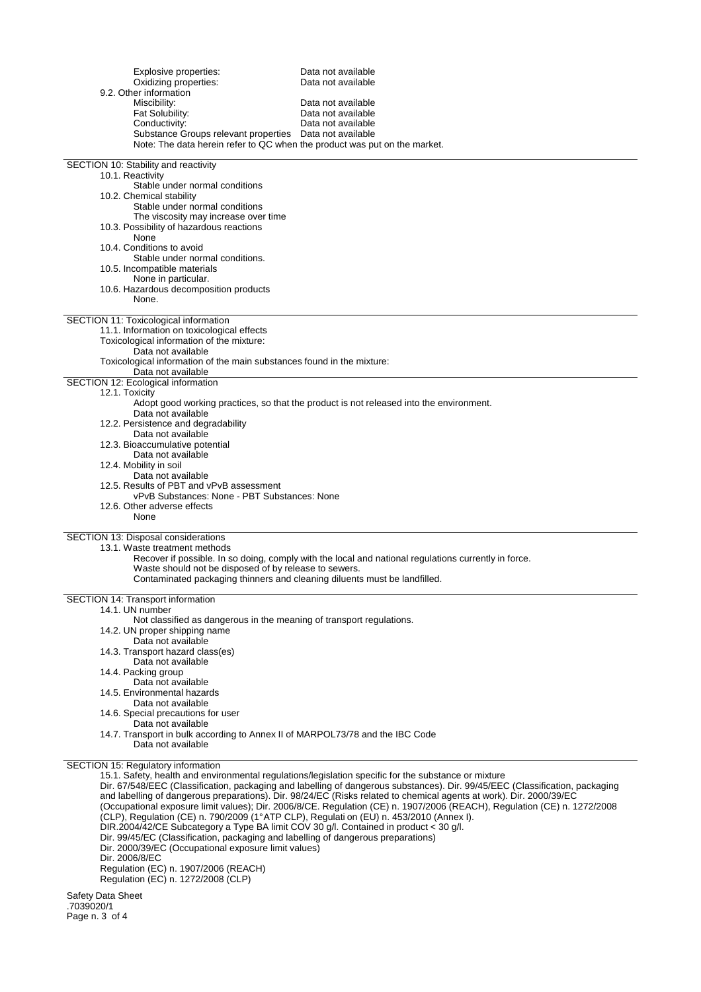| Explosive properties:<br>Oxidizing properties:                                                                                                                                   | Data not available<br>Data not available                                                                                     |
|----------------------------------------------------------------------------------------------------------------------------------------------------------------------------------|------------------------------------------------------------------------------------------------------------------------------|
| 9.2. Other information<br>Miscibility:                                                                                                                                           | Data not available                                                                                                           |
| Fat Solubility:                                                                                                                                                                  | Data not available                                                                                                           |
| Conductivity:                                                                                                                                                                    | Data not available                                                                                                           |
| Substance Groups relevant properties Data not available                                                                                                                          |                                                                                                                              |
| Note: The data herein refer to QC when the product was put on the market.                                                                                                        |                                                                                                                              |
| SECTION 10: Stability and reactivity                                                                                                                                             |                                                                                                                              |
| 10.1. Reactivity                                                                                                                                                                 |                                                                                                                              |
| Stable under normal conditions<br>10.2. Chemical stability                                                                                                                       |                                                                                                                              |
| Stable under normal conditions                                                                                                                                                   |                                                                                                                              |
| The viscosity may increase over time                                                                                                                                             |                                                                                                                              |
| 10.3. Possibility of hazardous reactions                                                                                                                                         |                                                                                                                              |
| None<br>10.4. Conditions to avoid                                                                                                                                                |                                                                                                                              |
| Stable under normal conditions.                                                                                                                                                  |                                                                                                                              |
| 10.5. Incompatible materials                                                                                                                                                     |                                                                                                                              |
| None in particular.                                                                                                                                                              |                                                                                                                              |
| 10.6. Hazardous decomposition products<br>None.                                                                                                                                  |                                                                                                                              |
|                                                                                                                                                                                  |                                                                                                                              |
| SECTION 11: Toxicological information                                                                                                                                            |                                                                                                                              |
| 11.1. Information on toxicological effects<br>Toxicological information of the mixture:                                                                                          |                                                                                                                              |
| Data not available                                                                                                                                                               |                                                                                                                              |
| Toxicological information of the main substances found in the mixture:                                                                                                           |                                                                                                                              |
| Data not available                                                                                                                                                               |                                                                                                                              |
| SECTION 12: Ecological information<br>12.1. Toxicity                                                                                                                             |                                                                                                                              |
|                                                                                                                                                                                  | Adopt good working practices, so that the product is not released into the environment.                                      |
| Data not available                                                                                                                                                               |                                                                                                                              |
| 12.2. Persistence and degradability                                                                                                                                              |                                                                                                                              |
| Data not available<br>12.3. Bioaccumulative potential                                                                                                                            |                                                                                                                              |
| Data not available                                                                                                                                                               |                                                                                                                              |
| 12.4. Mobility in soil                                                                                                                                                           |                                                                                                                              |
| Data not available                                                                                                                                                               |                                                                                                                              |
| 12.5. Results of PBT and vPvB assessment<br>vPvB Substances: None - PBT Substances: None                                                                                         |                                                                                                                              |
| 12.6. Other adverse effects                                                                                                                                                      |                                                                                                                              |
| None                                                                                                                                                                             |                                                                                                                              |
|                                                                                                                                                                                  |                                                                                                                              |
| SECTION 13: Disposal considerations<br>13.1. Waste treatment methods                                                                                                             |                                                                                                                              |
|                                                                                                                                                                                  | Recover if possible. In so doing, comply with the local and national regulations currently in force.                         |
| Waste should not be disposed of by release to sewers.                                                                                                                            |                                                                                                                              |
| Contaminated packaging thinners and cleaning diluents must be landfilled.                                                                                                        |                                                                                                                              |
| SECTION 14: Transport information                                                                                                                                                |                                                                                                                              |
| 14.1. UN number                                                                                                                                                                  |                                                                                                                              |
| Not classified as dangerous in the meaning of transport regulations.<br>14.2. UN proper shipping name                                                                            |                                                                                                                              |
| Data not available                                                                                                                                                               |                                                                                                                              |
| 14.3. Transport hazard class(es)                                                                                                                                                 |                                                                                                                              |
| Data not available                                                                                                                                                               |                                                                                                                              |
| 14.4. Packing group<br>Data not available                                                                                                                                        |                                                                                                                              |
| 14.5. Environmental hazards                                                                                                                                                      |                                                                                                                              |
| Data not available                                                                                                                                                               |                                                                                                                              |
| 14.6. Special precautions for user                                                                                                                                               |                                                                                                                              |
| Data not available<br>14.7. Transport in bulk according to Annex II of MARPOL73/78 and the IBC Code                                                                              |                                                                                                                              |
| Data not available                                                                                                                                                               |                                                                                                                              |
|                                                                                                                                                                                  |                                                                                                                              |
| SECTION 15: Regulatory information                                                                                                                                               | 15.1. Safety, health and environmental regulations/legislation specific for the substance or mixture                         |
|                                                                                                                                                                                  | Dir. 67/548/EEC (Classification, packaging and labelling of dangerous substances). Dir. 99/45/EEC (Classification, packaging |
|                                                                                                                                                                                  | and labelling of dangerous preparations). Dir. 98/24/EC (Risks related to chemical agents at work). Dir. 2000/39/EC          |
|                                                                                                                                                                                  | (Occupational exposure limit values); Dir. 2006/8/CE. Regulation (CE) n. 1907/2006 (REACH), Regulation (CE) n. 1272/2008     |
| (CLP), Regulation (CE) n. 790/2009 (1°ATP CLP), Regulati on (EU) n. 453/2010 (Annex I).<br>DIR.2004/42/CE Subcategory a Type BA limit COV 30 g/l. Contained in product < 30 g/l. |                                                                                                                              |
| Dir. 99/45/EC (Classification, packaging and labelling of dangerous preparations)                                                                                                |                                                                                                                              |
| Dir. 2000/39/EC (Occupational exposure limit values)<br>$D1$ 2000/0/50                                                                                                           |                                                                                                                              |

Dir. 2006/8/EC

Regulation (EC) n. 1907/2006 (REACH)

Regulation (EC) n. 1272/2008 (CLP)